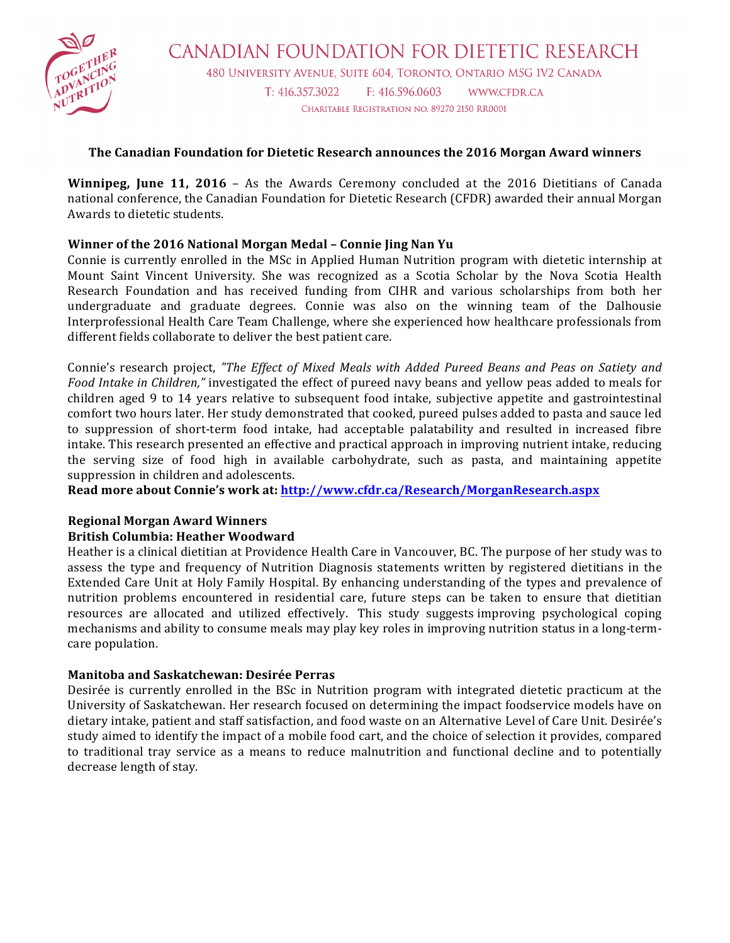

# **The Canadian Foundation for Dietetic Research announces the 2016 Morgan Award winners**

**Winnipeg, June 11, 2016** - As the Awards Ceremony concluded at the 2016 Dietitians of Canada national conference, the Canadian Foundation for Dietetic Research (CFDR) awarded their annual Morgan Awards to dietetic students.

# **Winner of the 2016 National Morgan Medal - Connie Jing Nan Yu**

Connie is currently enrolled in the MSc in Applied Human Nutrition program with dietetic internship at Mount Saint Vincent University. She was recognized as a Scotia Scholar by the Nova Scotia Health Research Foundation and has received funding from CIHR and various scholarships from both her undergraduate and graduate degrees. Connie was also on the winning team of the Dalhousie Interprofessional Health Care Team Challenge, where she experienced how healthcare professionals from different fields collaborate to deliver the best patient care.

Connie's research project, "The Effect of Mixed Meals with Added Pureed Beans and Peas on Satiety and *Food Intake in Children,"* investigated the effect of pureed navy beans and yellow peas added to meals for children aged 9 to 14 years relative to subsequent food intake, subjective appetite and gastrointestinal comfort two hours later. Her study demonstrated that cooked, pureed pulses added to pasta and sauce led to suppression of short-term food intake, had acceptable palatability and resulted in increased fibre intake. This research presented an effective and practical approach in improving nutrient intake, reducing the serving size of food high in available carbohydrate, such as pasta, and maintaining appetite suppression in children and adolescents.

Read more about Connie's work at: http://www.cfdr.ca/Research/MorganResearch.aspx

## **Regional Morgan Award Winners**

## **British Columbia: Heather Woodward**

Heather is a clinical dietitian at Providence Health Care in Vancouver, BC. The purpose of her study was to assess the type and frequency of Nutrition Diagnosis statements written by registered dietitians in the Extended Care Unit at Holy Family Hospital. By enhancing understanding of the types and prevalence of nutrition problems encountered in residential care, future steps can be taken to ensure that dietitian resources are allocated and utilized effectively. This study suggests improving psychological coping mechanisms and ability to consume meals may play key roles in improving nutrition status in a long-termcare population.

## **Manitoba and Saskatchewan: Desirée Perras**

Desirée is currently enrolled in the BSc in Nutrition program with integrated dietetic practicum at the University of Saskatchewan. Her research focused on determining the impact foodservice models have on dietary intake, patient and staff satisfaction, and food waste on an Alternative Level of Care Unit. Desirée's study aimed to identify the impact of a mobile food cart, and the choice of selection it provides, compared to traditional tray service as a means to reduce malnutrition and functional decline and to potentially decrease length of stay.